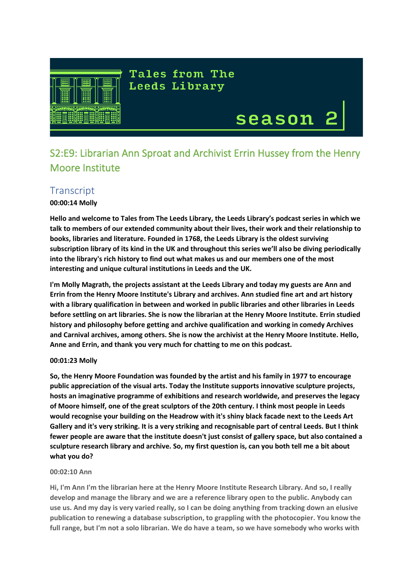

**Tales from The Leeds Library** 

# season

 $\begin{array}{c} \hline \end{array}$ 

# S2:E9: Librarian Ann Sproat and Archivist Errin Hussey from the Henry Moore Institute

# **Transcript**

**00:00:14 Molly**

**Hello and welcome to Tales from The Leeds Library, the Leeds Library's podcast series in which we talk to members of our extended community about their lives, their work and their relationship to books, libraries and literature. Founded in 1768, the Leeds Library is the oldest surviving subscription library of its kind in the UK and throughout this series we'll also be diving periodically into the library's rich history to find out what makes us and our members one of the most interesting and unique cultural institutions in Leeds and the UK.**

**I'm Molly Magrath, the projects assistant at the Leeds Library and today my guests are Ann and Errin from the Henry Moore Institute's Library and archives. Ann studied fine art and art history with a library qualification in between and worked in public libraries and other libraries in Leeds before settling on art libraries. She is now the librarian at the Henry Moore Institute. Errin studied history and philosophy before getting and archive qualification and working in comedy Archives and Carnival archives, among others. She is now the archivist at the Henry Moore Institute. Hello, Anne and Errin, and thank you very much for chatting to me on this podcast.** 

# **00:01:23 Molly**

**So, the Henry Moore Foundation was founded by the artist and his family in 1977 to encourage public appreciation of the visual arts. Today the Institute supports innovative sculpture projects, hosts an imaginative programme of exhibitions and research worldwide, and preserves the legacy of Moore himself, one of the great sculptors of the 20th century. I think most people in Leeds would recognise your building on the Headrow with it's shiny black facade next to the Leeds Art Gallery and it's very striking. It is a very striking and recognisable part of central Leeds. But I think fewer people are aware that the institute doesn't just consist of gallery space, but also contained a sculpture research library and archive. So, my first question is, can you both tell me a bit about what you do?**

# **00:02:10 Ann**

**Hi, I'm Ann I'm the librarian here at the Henry Moore Institute Research Library. And so, I really develop and manage the library and we are a reference library open to the public. Anybody can use us. And my day is very varied really, so I can be doing anything from tracking down an elusive publication to renewing a database subscription, to grappling with the photocopier. You know the full range, but I'm not a solo librarian. We do have a team, so we have somebody who works with**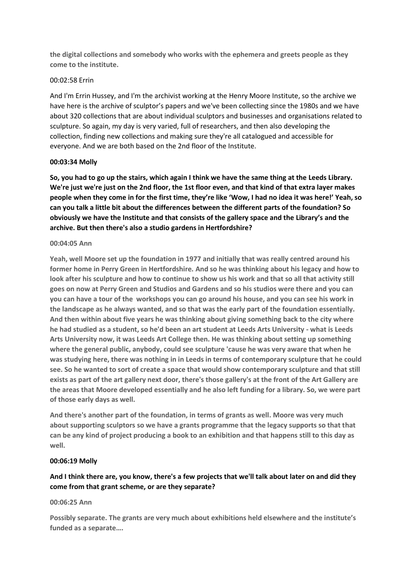**the digital collections and somebody who works with the ephemera and greets people as they come to the institute.**

### 00:02:58 Errin

And I'm Errin Hussey, and I'm the archivist working at the Henry Moore Institute, so the archive we have here is the archive of sculptor's papers and we've been collecting since the 1980s and we have about 320 collections that are about individual sculptors and businesses and organisations related to sculpture. So again, my day is very varied, full of researchers, and then also developing the collection, finding new collections and making sure they're all catalogued and accessible for everyone. And we are both based on the 2nd floor of the Institute.

#### **00:03:34 Molly**

**So, you had to go up the stairs, which again I think we have the same thing at the Leeds Library. We're just we're just on the 2nd floor, the 1st floor even, and that kind of that extra layer makes people when they come in for the first time, they're like 'Wow, I had no idea it was here!' Yeah, so can you talk a little bit about the differences between the different parts of the foundation? So obviously we have the Institute and that consists of the gallery space and the Library's and the archive. But then there's also a studio gardens in Hertfordshire?**

#### **00:04:05 Ann**

**Yeah, well Moore set up the foundation in 1977 and initially that was really centred around his former home in Perry Green in Hertfordshire. And so he was thinking about his legacy and how to look after his sculpture and how to continue to show us his work and that so all that activity still goes on now at Perry Green and Studios and Gardens and so his studios were there and you can you can have a tour of the workshops you can go around his house, and you can see his work in the landscape as he always wanted, and so that was the early part of the foundation essentially. And then within about five years he was thinking about giving something back to the city where he had studied as a student, so he'd been an art student at Leeds Arts University - what is Leeds Arts University now, it was Leeds Art College then. He was thinking about setting up something where the general public, anybody, could see sculpture 'cause he was very aware that when he was studying here, there was nothing in in Leeds in terms of contemporary sculpture that he could see. So he wanted to sort of create a space that would show contemporary sculpture and that still exists as part of the art gallery next door, there's those gallery's at the front of the Art Gallery are the areas that Moore developed essentially and he also left funding for a library. So, we were part of those early days as well.** 

**And there's another part of the foundation, in terms of grants as well. Moore was very much about supporting sculptors so we have a grants programme that the legacy supports so that that can be any kind of project producing a book to an exhibition and that happens still to this day as well.**

# **00:06:19 Molly**

# **And I think there are, you know, there's a few projects that we'll talk about later on and did they come from that grant scheme, or are they separate?**

#### **00:06:25 Ann**

**Possibly separate. The grants are very much about exhibitions held elsewhere and the institute's funded as a separate….**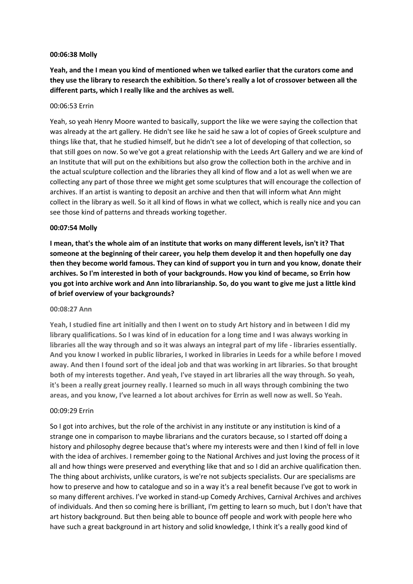#### **00:06:38 Molly**

**Yeah, and the I mean you kind of mentioned when we talked earlier that the curators come and they use the library to research the exhibition. So there's really a lot of crossover between all the different parts, which I really like and the archives as well.**

#### 00:06:53 Errin

Yeah, so yeah Henry Moore wanted to basically, support the like we were saying the collection that was already at the art gallery. He didn't see like he said he saw a lot of copies of Greek sculpture and things like that, that he studied himself, but he didn't see a lot of developing of that collection, so that still goes on now. So we've got a great relationship with the Leeds Art Gallery and we are kind of an Institute that will put on the exhibitions but also grow the collection both in the archive and in the actual sculpture collection and the libraries they all kind of flow and a lot as well when we are collecting any part of those three we might get some sculptures that will encourage the collection of archives. If an artist is wanting to deposit an archive and then that will inform what Ann might collect in the library as well. So it all kind of flows in what we collect, which is really nice and you can see those kind of patterns and threads working together.

#### **00:07:54 Molly**

**I mean, that's the whole aim of an institute that works on many different levels, isn't it? That someone at the beginning of their career, you help them develop it and then hopefully one day then they become world famous. They can kind of support you in turn and you know, donate their archives. So I'm interested in both of your backgrounds. How you kind of became, so Errin how you got into archive work and Ann into librarianship. So, do you want to give me just a little kind of brief overview of your backgrounds?**

#### **00:08:27 Ann**

**Yeah, I studied fine art initially and then I went on to study Art history and in between I did my library qualifications. So I was kind of in education for a long time and I was always working in libraries all the way through and so it was always an integral part of my life - libraries essentially. And you know I worked in public libraries, I worked in libraries in Leeds for a while before I moved away. And then I found sort of the ideal job and that was working in art libraries. So that brought both of my interests together. And yeah, I've stayed in art libraries all the way through. So yeah, it's been a really great journey really. I learned so much in all ways through combining the two areas, and you know, I've learned a lot about archives for Errin as well now as well. So Yeah.**

#### 00:09:29 Errin

So I got into archives, but the role of the archivist in any institute or any institution is kind of a strange one in comparison to maybe librarians and the curators because, so I started off doing a history and philosophy degree because that's where my interests were and then I kind of fell in love with the idea of archives. I remember going to the National Archives and just loving the process of it all and how things were preserved and everything like that and so I did an archive qualification then. The thing about archivists, unlike curators, is we're not subjects specialists. Our are specialisms are how to preserve and how to catalogue and so in a way it's a real benefit because I've got to work in so many different archives. I've worked in stand-up Comedy Archives, Carnival Archives and archives of individuals. And then so coming here is brilliant, I'm getting to learn so much, but I don't have that art history background. But then being able to bounce off people and work with people here who have such a great background in art history and solid knowledge, I think it's a really good kind of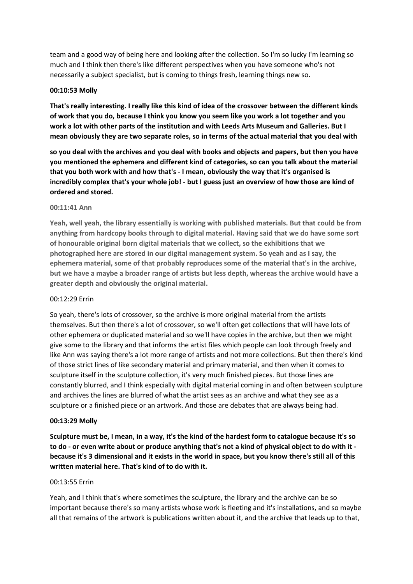team and a good way of being here and looking after the collection. So I'm so lucky I'm learning so much and I think then there's like different perspectives when you have someone who's not necessarily a subject specialist, but is coming to things fresh, learning things new so.

# **00:10:53 Molly**

**That's really interesting. I really like this kind of idea of the crossover between the different kinds of work that you do, because I think you know you seem like you work a lot together and you work a lot with other parts of the institution and with Leeds Arts Museum and Galleries. But I mean obviously they are two separate roles, so in terms of the actual material that you deal with**

**so you deal with the archives and you deal with books and objects and papers, but then you have you mentioned the ephemera and different kind of categories, so can you talk about the material that you both work with and how that's - I mean, obviously the way that it's organised is incredibly complex that's your whole job! - but I guess just an overview of how those are kind of ordered and stored.**

#### **00:11:41 Ann**

**Yeah, well yeah, the library essentially is working with published materials. But that could be from anything from hardcopy books through to digital material. Having said that we do have some sort of honourable original born digital materials that we collect, so the exhibitions that we photographed here are stored in our digital management system. So yeah and as I say, the ephemera material, some of that probably reproduces some of the material that's in the archive, but we have a maybe a broader range of artists but less depth, whereas the archive would have a greater depth and obviously the original material.** 

#### 00:12:29 Errin

So yeah, there's lots of crossover, so the archive is more original material from the artists themselves. But then there's a lot of crossover, so we'll often get collections that will have lots of other ephemera or duplicated material and so we'll have copies in the archive, but then we might give some to the library and that informs the artist files which people can look through freely and like Ann was saying there's a lot more range of artists and not more collections. But then there's kind of those strict lines of like secondary material and primary material, and then when it comes to sculpture itself in the sculpture collection, it's very much finished pieces. But those lines are constantly blurred, and I think especially with digital material coming in and often between sculpture and archives the lines are blurred of what the artist sees as an archive and what they see as a sculpture or a finished piece or an artwork. And those are debates that are always being had.

#### **00:13:29 Molly**

**Sculpture must be, I mean, in a way, it's the kind of the hardest form to catalogue because it's so to do - or even write about or produce anything that's not a kind of physical object to do with it because it's 3 dimensional and it exists in the world in space, but you know there's still all of this written material here. That's kind of to do with it.**

### 00:13:55 Errin

Yeah, and I think that's where sometimes the sculpture, the library and the archive can be so important because there's so many artists whose work is fleeting and it's installations, and so maybe all that remains of the artwork is publications written about it, and the archive that leads up to that,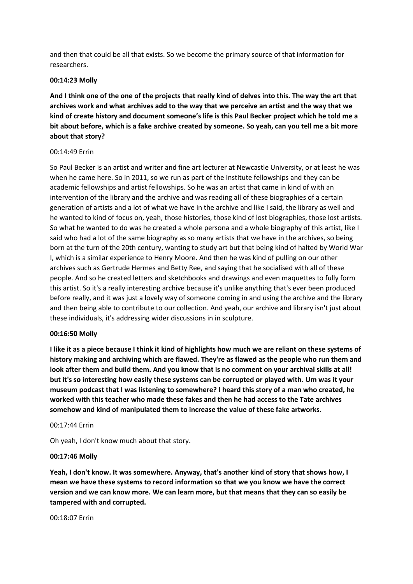and then that could be all that exists. So we become the primary source of that information for researchers.

#### **00:14:23 Molly**

**And I think one of the one of the projects that really kind of delves into this. The way the art that archives work and what archives add to the way that we perceive an artist and the way that we kind of create history and document someone's life is this Paul Becker project which he told me a bit about before, which is a fake archive created by someone. So yeah, can you tell me a bit more about that story?**

#### 00:14:49 Errin

So Paul Becker is an artist and writer and fine art lecturer at Newcastle University, or at least he was when he came here. So in 2011, so we run as part of the Institute fellowships and they can be academic fellowships and artist fellowships. So he was an artist that came in kind of with an intervention of the library and the archive and was reading all of these biographies of a certain generation of artists and a lot of what we have in the archive and like I said, the library as well and he wanted to kind of focus on, yeah, those histories, those kind of lost biographies, those lost artists. So what he wanted to do was he created a whole persona and a whole biography of this artist, like I said who had a lot of the same biography as so many artists that we have in the archives, so being born at the turn of the 20th century, wanting to study art but that being kind of halted by World War I, which is a similar experience to Henry Moore. And then he was kind of pulling on our other archives such as Gertrude Hermes and Betty Ree, and saying that he socialised with all of these people. And so he created letters and sketchbooks and drawings and even maquettes to fully form this artist. So it's a really interesting archive because it's unlike anything that's ever been produced before really, and it was just a lovely way of someone coming in and using the archive and the library and then being able to contribute to our collection. And yeah, our archive and library isn't just about these individuals, it's addressing wider discussions in in sculpture.

# **00:16:50 Molly**

**I like it as a piece because I think it kind of highlights how much we are reliant on these systems of history making and archiving which are flawed. They're as flawed as the people who run them and look after them and build them. And you know that is no comment on your archival skills at all! but it's so interesting how easily these systems can be corrupted or played with. Um was it your museum podcast that I was listening to somewhere? I heard this story of a man who created, he worked with this teacher who made these fakes and then he had access to the Tate archives somehow and kind of manipulated them to increase the value of these fake artworks.**

#### 00:17:44 Errin

Oh yeah, I don't know much about that story.

#### **00:17:46 Molly**

**Yeah, I don't know. It was somewhere. Anyway, that's another kind of story that shows how, I mean we have these systems to record information so that we you know we have the correct version and we can know more. We can learn more, but that means that they can so easily be tampered with and corrupted.**

00:18:07 Errin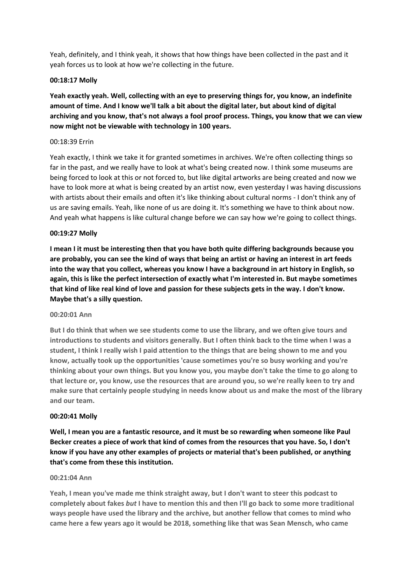Yeah, definitely, and I think yeah, it shows that how things have been collected in the past and it yeah forces us to look at how we're collecting in the future.

# **00:18:17 Molly**

**Yeah exactly yeah. Well, collecting with an eye to preserving things for, you know, an indefinite amount of time. And I know we'll talk a bit about the digital later, but about kind of digital archiving and you know, that's not always a fool proof process. Things, you know that we can view now might not be viewable with technology in 100 years.**

# 00:18:39 Errin

Yeah exactly, I think we take it for granted sometimes in archives. We're often collecting things so far in the past, and we really have to look at what's being created now. I think some museums are being forced to look at this or not forced to, but like digital artworks are being created and now we have to look more at what is being created by an artist now, even yesterday I was having discussions with artists about their emails and often it's like thinking about cultural norms - I don't think any of us are saving emails. Yeah, like none of us are doing it. It's something we have to think about now. And yeah what happens is like cultural change before we can say how we're going to collect things.

# **00:19:27 Molly**

**I mean I it must be interesting then that you have both quite differing backgrounds because you are probably, you can see the kind of ways that being an artist or having an interest in art feeds into the way that you collect, whereas you know I have a background in art history in English, so again, this is like the perfect intersection of exactly what I'm interested in. But maybe sometimes that kind of like real kind of love and passion for these subjects gets in the way. I don't know. Maybe that's a silly question.**

#### **00:20:01 Ann**

**But I do think that when we see students come to use the library, and we often give tours and introductions to students and visitors generally. But I often think back to the time when I was a student, I think I really wish I paid attention to the things that are being shown to me and you know, actually took up the opportunities 'cause sometimes you're so busy working and you're thinking about your own things. But you know you, you maybe don't take the time to go along to that lecture or, you know, use the resources that are around you, so we're really keen to try and make sure that certainly people studying in needs know about us and make the most of the library and our team.** 

#### **00:20:41 Molly**

**Well, I mean you are a fantastic resource, and it must be so rewarding when someone like Paul Becker creates a piece of work that kind of comes from the resources that you have. So, I don't know if you have any other examples of projects or material that's been published, or anything that's come from these this institution.**

#### **00:21:04 Ann**

**Yeah, I mean you've made me think straight away, but I don't want to steer this podcast to completely about fakes** *but* **I have to mention this and then I'll go back to some more traditional ways people have used the library and the archive, but another fellow that comes to mind who came here a few years ago it would be 2018, something like that was Sean Mensch, who came**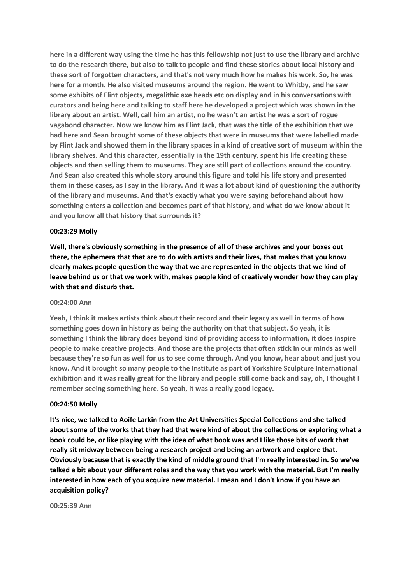**here in a different way using the time he has this fellowship not just to use the library and archive to do the research there, but also to talk to people and find these stories about local history and these sort of forgotten characters, and that's not very much how he makes his work. So, he was here for a month. He also visited museums around the region. He went to Whitby, and he saw some exhibits of Flint objects, megalithic axe heads etc on display and in his conversations with curators and being here and talking to staff here he developed a project which was shown in the library about an artist. Well, call him an artist, no he wasn't an artist he was a sort of rogue vagabond character. Now we know him as Flint Jack, that was the title of the exhibition that we had here and Sean brought some of these objects that were in museums that were labelled made by Flint Jack and showed them in the library spaces in a kind of creative sort of museum within the library shelves. And this character, essentially in the 19th century, spent his life creating these objects and then selling them to museums. They are still part of collections around the country. And Sean also created this whole story around this figure and told his life story and presented them in these cases, as I say in the library. And it was a lot about kind of questioning the authority of the library and museums. And that's exactly what you were saying beforehand about how something enters a collection and becomes part of that history, and what do we know about it and you know all that history that surrounds it?**

#### **00:23:29 Molly**

**Well, there's obviously something in the presence of all of these archives and your boxes out there, the ephemera that that are to do with artists and their lives, that makes that you know clearly makes people question the way that we are represented in the objects that we kind of leave behind us or that we work with, makes people kind of creatively wonder how they can play with that and disturb that.**

# **00:24:00 Ann**

**Yeah, I think it makes artists think about their record and their legacy as well in terms of how something goes down in history as being the authority on that that subject. So yeah, it is something I think the library does beyond kind of providing access to information, it does inspire people to make creative projects. And those are the projects that often stick in our minds as well because they're so fun as well for us to see come through. And you know, hear about and just you know. And it brought so many people to the Institute as part of Yorkshire Sculpture International exhibition and it was really great for the library and people still come back and say, oh, I thought I remember seeing something here. So yeah, it was a really good legacy.** 

#### **00:24:50 Molly**

**It's nice, we talked to Aoife Larkin from the Art Universities Special Collections and she talked about some of the works that they had that were kind of about the collections or exploring what a book could be, or like playing with the idea of what book was and I like those bits of work that really sit midway between being a research project and being an artwork and explore that. Obviously because that is exactly the kind of middle ground that I'm really interested in. So we've talked a bit about your different roles and the way that you work with the material. But I'm really interested in how each of you acquire new material. I mean and I don't know if you have an acquisition policy?**

**00:25:39 Ann**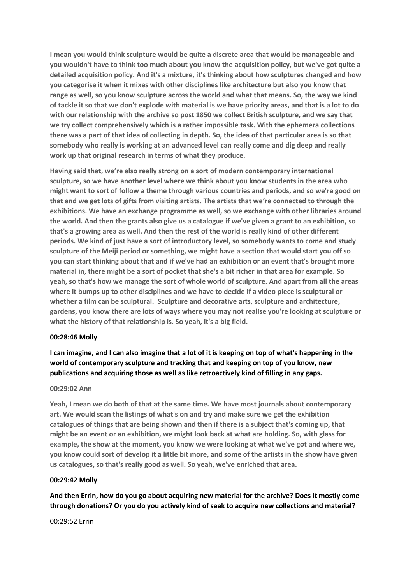**I mean you would think sculpture would be quite a discrete area that would be manageable and you wouldn't have to think too much about you know the acquisition policy, but we've got quite a detailed acquisition policy. And it's a mixture, it's thinking about how sculptures changed and how you categorise it when it mixes with other disciplines like architecture but also you know that range as well, so you know sculpture across the world and what that means. So, the way we kind of tackle it so that we don't explode with material is we have priority areas, and that is a lot to do with our relationship with the archive so post 1850 we collect British sculpture, and we say that we try collect comprehensively which is a rather impossible task. With the ephemera collections there was a part of that idea of collecting in depth. So, the idea of that particular area is so that somebody who really is working at an advanced level can really come and dig deep and really work up that original research in terms of what they produce.**

**Having said that, we're also really strong on a sort of modern contemporary international sculpture, so we have another level where we think about you know students in the area who might want to sort of follow a theme through various countries and periods, and so we're good on that and we get lots of gifts from visiting artists. The artists that we're connected to through the exhibitions. We have an exchange programme as well, so we exchange with other libraries around the world. And then the grants also give us a catalogue if we've given a grant to an exhibition, so that's a growing area as well. And then the rest of the world is really kind of other different periods. We kind of just have a sort of introductory level, so somebody wants to come and study sculpture of the Meiji period or something, we might have a section that would start you off so you can start thinking about that and if we've had an exhibition or an event that's brought more material in, there might be a sort of pocket that she's a bit richer in that area for example. So yeah, so that's how we manage the sort of whole world of sculpture. And apart from all the areas where it bumps up to other disciplines and we have to decide if a video piece is sculptural or whether a film can be sculptural. Sculpture and decorative arts, sculpture and architecture, gardens, you know there are lots of ways where you may not realise you're looking at sculpture or what the history of that relationship is. So yeah, it's a big field.**

#### **00:28:46 Molly**

**I can imagine, and I can also imagine that a lot of it is keeping on top of what's happening in the world of contemporary sculpture and tracking that and keeping on top of you know, new publications and acquiring those as well as like retroactively kind of filling in any gaps.**

#### **00:29:02 Ann**

**Yeah, I mean we do both of that at the same time. We have most journals about contemporary art. We would scan the listings of what's on and try and make sure we get the exhibition catalogues of things that are being shown and then if there is a subject that's coming up, that might be an event or an exhibition, we might look back at what are holding. So, with glass for example, the show at the moment, you know we were looking at what we've got and where we, you know could sort of develop it a little bit more, and some of the artists in the show have given us catalogues, so that's really good as well. So yeah, we've enriched that area.**

#### **00:29:42 Molly**

**And then Errin, how do you go about acquiring new material for the archive? Does it mostly come through donations? Or you do you actively kind of seek to acquire new collections and material?**

00:29:52 Errin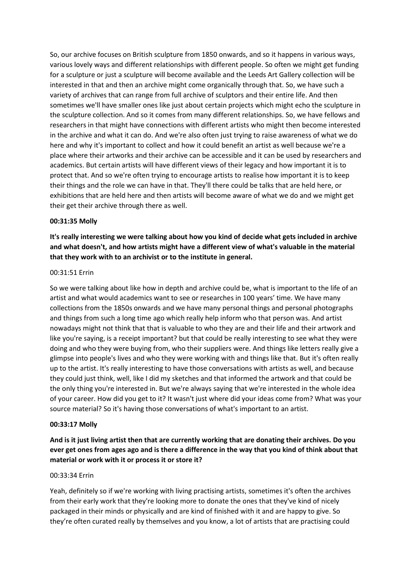So, our archive focuses on British sculpture from 1850 onwards, and so it happens in various ways, various lovely ways and different relationships with different people. So often we might get funding for a sculpture or just a sculpture will become available and the Leeds Art Gallery collection will be interested in that and then an archive might come organically through that. So, we have such a variety of archives that can range from full archive of sculptors and their entire life. And then sometimes we'll have smaller ones like just about certain projects which might echo the sculpture in the sculpture collection. And so it comes from many different relationships. So, we have fellows and researchers in that might have connections with different artists who might then become interested in the archive and what it can do. And we're also often just trying to raise awareness of what we do here and why it's important to collect and how it could benefit an artist as well because we're a place where their artworks and their archive can be accessible and it can be used by researchers and academics. But certain artists will have different views of their legacy and how important it is to protect that. And so we're often trying to encourage artists to realise how important it is to keep their things and the role we can have in that. They'll there could be talks that are held here, or exhibitions that are held here and then artists will become aware of what we do and we might get their get their archive through there as well.

#### **00:31:35 Molly**

**It's really interesting we were talking about how you kind of decide what gets included in archive and what doesn't, and how artists might have a different view of what's valuable in the material that they work with to an archivist or to the institute in general.**

#### 00:31:51 Errin

So we were talking about like how in depth and archive could be, what is important to the life of an artist and what would academics want to see or researches in 100 years' time. We have many collections from the 1850s onwards and we have many personal things and personal photographs and things from such a long time ago which really help inform who that person was. And artist nowadays might not think that that is valuable to who they are and their life and their artwork and like you're saying, is a receipt important? but that could be really interesting to see what they were doing and who they were buying from, who their suppliers were. And things like letters really give a glimpse into people's lives and who they were working with and things like that. But it's often really up to the artist. It's really interesting to have those conversations with artists as well, and because they could just think, well, like I did my sketches and that informed the artwork and that could be the only thing you're interested in. But we're always saying that we're interested in the whole idea of your career. How did you get to it? It wasn't just where did your ideas come from? What was your source material? So it's having those conversations of what's important to an artist.

#### **00:33:17 Molly**

# **And is it just living artist then that are currently working that are donating their archives. Do you ever get ones from ages ago and is there a difference in the way that you kind of think about that material or work with it or process it or store it?**

#### 00:33:34 Errin

Yeah, definitely so if we're working with living practising artists, sometimes it's often the archives from their early work that they're looking more to donate the ones that they've kind of nicely packaged in their minds or physically and are kind of finished with it and are happy to give. So they're often curated really by themselves and you know, a lot of artists that are practising could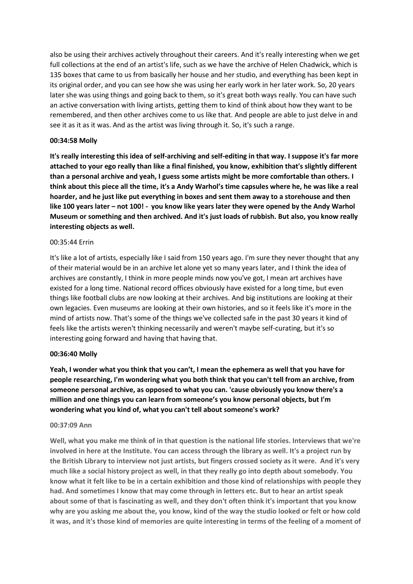also be using their archives actively throughout their careers. And it's really interesting when we get full collections at the end of an artist's life, such as we have the archive of Helen Chadwick, which is 135 boxes that came to us from basically her house and her studio, and everything has been kept in its original order, and you can see how she was using her early work in her later work. So, 20 years later she was using things and going back to them, so it's great both ways really. You can have such an active conversation with living artists, getting them to kind of think about how they want to be remembered, and then other archives come to us like that. And people are able to just delve in and see it as it as it was. And as the artist was living through it. So, it's such a range.

# **00:34:58 Molly**

**It's really interesting this idea of self-archiving and self-editing in that way. I suppose it's far more attached to your ego really than like a final finished, you know, exhibition that's slightly different than a personal archive and yeah, I guess some artists might be more comfortable than others. I think about this piece all the time, it's a Andy Warhol's time capsules where he, he was like a real hoarder, and he just like put everything in boxes and sent them away to a storehouse and then like 100 years later – not 100! - you know like years later they were opened by the Andy Warhol Museum or something and then archived. And it's just loads of rubbish. But also, you know really interesting objects as well.**

# 00:35:44 Errin

It's like a lot of artists, especially like I said from 150 years ago. I'm sure they never thought that any of their material would be in an archive let alone yet so many years later, and I think the idea of archives are constantly, I think in more people minds now you've got, I mean art archives have existed for a long time. National record offices obviously have existed for a long time, but even things like football clubs are now looking at their archives. And big institutions are looking at their own legacies. Even museums are looking at their own histories, and so it feels like it's more in the mind of artists now. That's some of the things we've collected safe in the past 30 years it kind of feels like the artists weren't thinking necessarily and weren't maybe self-curating, but it's so interesting going forward and having that having that.

# **00:36:40 Molly**

**Yeah, I wonder what you think that you can't, I mean the ephemera as well that you have for people researching, I'm wondering what you both think that you can't tell from an archive, from someone personal archive, as opposed to what you can. 'cause obviously you know there's a million and one things you can learn from someone's you know personal objects, but I'm wondering what you kind of, what you can't tell about someone's work?**

# **00:37:09 Ann**

**Well, what you make me think of in that question is the national life stories. Interviews that we're involved in here at the Institute. You can access through the library as well. It's a project run by the British Library to interview not just artists, but fingers crossed society as it were. And it's very much like a social history project as well, in that they really go into depth about somebody. You know what it felt like to be in a certain exhibition and those kind of relationships with people they had. And sometimes I know that may come through in letters etc. But to hear an artist speak about some of that is fascinating as well, and they don't often think it's important that you know why are you asking me about the, you know, kind of the way the studio looked or felt or how cold it was, and it's those kind of memories are quite interesting in terms of the feeling of a moment of**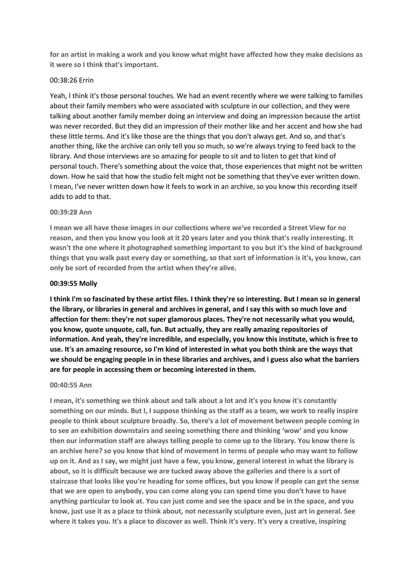**for an artist in making a work and you know what might have affected how they make decisions as it were so I think that's important.**

#### 00:38:26 Errin

Yeah, I think it's those personal touches. We had an event recently where we were talking to families about their family members who were associated with sculpture in our collection, and they were talking about another family member doing an interview and doing an impression because the artist was never recorded. But they did an impression of their mother like and her accent and how she had these little terms. And it's like those are the things that you don't always get. And so, and that's another thing, like the archive can only tell you so much, so we're always trying to feed back to the library. And those interviews are so amazing for people to sit and to listen to get that kind of personal touch. There's something about the voice that, those experiences that might not be written down. How he said that how the studio felt might not be something that they've ever written down. I mean, I've never written down how it feels to work in an archive, so you know this recording itself adds to add to that.

#### **00:39:28 Ann**

**I mean we all have those images in our collections where we've recorded a Street View for no reason, and then you know you look at it 20 years later and you think that's really interesting. It wasn't the one where it photographed something important to you but it's the kind of background things that you walk past every day or something, so that sort of information is it's, you know, can only be sort of recorded from the artist when they're alive.** 

#### **00:39:55 Molly**

**I think I'm so fascinated by these artist files. I think they're so interesting. But I mean so in general the library, or libraries in general and archives in general, and I say this with so much love and affection for them: they're not super glamorous places. They're not necessarily what you would, you know, quote unquote, call, fun. But actually, they are really amazing repositories of information. And yeah, they're incredible, and especially, you know this institute, which is free to use. It's an amazing resource, so I'm kind of interested in what you both think are the ways that we should be engaging people in in these libraries and archives, and I guess also what the barriers are for people in accessing them or becoming interested in them.**

#### **00:40:55 Ann**

**I mean, it's something we think about and talk about a lot and it's you know it's constantly something on our minds. But I, I suppose thinking as the staff as a team, we work to really inspire people to think about sculpture broadly. So, there's a lot of movement between people coming in to see an exhibition downstairs and seeing something there and thinking 'wow' and you know then our information staff are always telling people to come up to the library. You know there is an archive here? so you know that kind of movement in terms of people who may want to follow up on it. And as I say, we might just have a few, you know, general interest in what the library is about, so it is difficult because we are tucked away above the galleries and there is a sort of staircase that looks like you're heading for some offices, but you know if people can get the sense that we are open to anybody, you can come along you can spend time you don't have to have anything particular to look at. You can just come and see the space and be in the space, and you know, just use it as a place to think about, not necessarily sculpture even, just art in general. See where it takes you. It's a place to discover as well. Think it's very. It's very a creative, inspiring**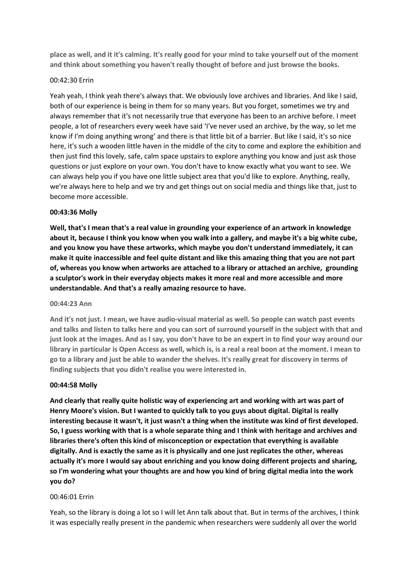**place as well, and it it's calming. It's really good for your mind to take yourself out of the moment and think about something you haven't really thought of before and just browse the books.** 

# 00:42:30 Errin

Yeah yeah, I think yeah there's always that. We obviously love archives and libraries. And like I said, both of our experience is being in them for so many years. But you forget, sometimes we try and always remember that it's not necessarily true that everyone has been to an archive before. I meet people, a lot of researchers every week have said 'I've never used an archive, by the way, so let me know if I'm doing anything wrong' and there is that little bit of a barrier. But like I said, it's so nice here, it's such a wooden little haven in the middle of the city to come and explore the exhibition and then just find this lovely, safe, calm space upstairs to explore anything you know and just ask those questions or just explore on your own. You don't have to know exactly what you want to see. We can always help you if you have one little subject area that you'd like to explore. Anything, really, we're always here to help and we try and get things out on social media and things like that, just to become more accessible.

#### **00:43:36 Molly**

**Well, that's I mean that's a real value in grounding your experience of an artwork in knowledge about it, because I think you know when you walk into a gallery, and maybe it's a big white cube, and you know you have these artworks, which maybe you don't understand immediately, it can make it quite inaccessible and feel quite distant and like this amazing thing that you are not part of, whereas you know when artworks are attached to a library or attached an archive, grounding a sculptor's work in their everyday objects makes it more real and more accessible and more understandable. And that's a really amazing resource to have.**

#### **00:44:23 Ann**

**And it's not just. I mean, we have audio-visual material as well. So people can watch past events and talks and listen to talks here and you can sort of surround yourself in the subject with that and just look at the images. And as I say, you don't have to be an expert in to find your way around our library in particular is Open Access as well, which is, is a real a real boon at the moment. I mean to go to a library and just be able to wander the shelves. It's really great for discovery in terms of finding subjects that you didn't realise you were interested in.**

#### **00:44:58 Molly**

**And clearly that really quite holistic way of experiencing art and working with art was part of Henry Moore's vision. But I wanted to quickly talk to you guys about digital. Digital is really interesting because it wasn't, it just wasn't a thing when the institute was kind of first developed. So, I guess working with that is a whole separate thing and I think with heritage and archives and libraries there's often this kind of misconception or expectation that everything is available digitally. And is exactly the same as it is physically and one just replicates the other, whereas actually it's more I would say about enriching and you know doing different projects and sharing, so I'm wondering what your thoughts are and how you kind of bring digital media into the work you do?**

#### 00:46:01 Errin

Yeah, so the library is doing a lot so I will let Ann talk about that. But in terms of the archives, I think it was especially really present in the pandemic when researchers were suddenly all over the world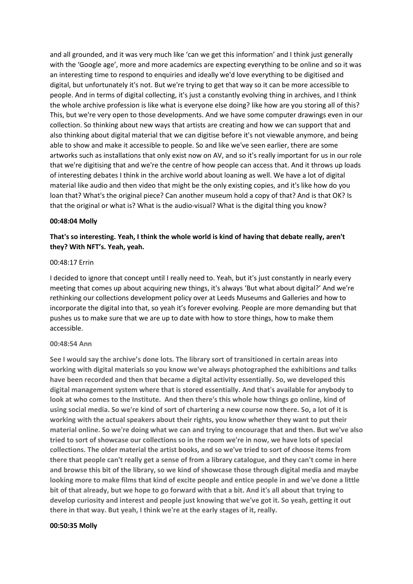and all grounded, and it was very much like 'can we get this information' and I think just generally with the 'Google age', more and more academics are expecting everything to be online and so it was an interesting time to respond to enquiries and ideally we'd love everything to be digitised and digital, but unfortunately it's not. But we're trying to get that way so it can be more accessible to people. And in terms of digital collecting, it's just a constantly evolving thing in archives, and I think the whole archive profession is like what is everyone else doing? like how are you storing all of this? This, but we're very open to those developments. And we have some computer drawings even in our collection. So thinking about new ways that artists are creating and how we can support that and also thinking about digital material that we can digitise before it's not viewable anymore, and being able to show and make it accessible to people. So and like we've seen earlier, there are some artworks such as installations that only exist now on AV, and so it's really important for us in our role that we're digitising that and we're the centre of how people can access that. And it throws up loads of interesting debates I think in the archive world about loaning as well. We have a lot of digital material like audio and then video that might be the only existing copies, and it's like how do you loan that? What's the original piece? Can another museum hold a copy of that? And is that OK? Is that the original or what is? What is the audio-visual? What is the digital thing you know?

#### **00:48:04 Molly**

# **That's so interesting. Yeah, I think the whole world is kind of having that debate really, aren't they? With NFT's. Yeah, yeah.**

#### 00:48:17 Errin

I decided to ignore that concept until I really need to. Yeah, but it's just constantly in nearly every meeting that comes up about acquiring new things, it's always 'But what about digital?' And we're rethinking our collections development policy over at Leeds Museums and Galleries and how to incorporate the digital into that, so yeah it's forever evolving. People are more demanding but that pushes us to make sure that we are up to date with how to store things, how to make them accessible.

#### **00:48:54 Ann**

**See I would say the archive's done lots. The library sort of transitioned in certain areas into working with digital materials so you know we've always photographed the exhibitions and talks have been recorded and then that became a digital activity essentially. So, we developed this digital management system where that is stored essentially. And that's available for anybody to look at who comes to the Institute. And then there's this whole how things go online, kind of using social media. So we're kind of sort of chartering a new course now there. So, a lot of it is working with the actual speakers about their rights, you know whether they want to put their material online. So we're doing what we can and trying to encourage that and then. But we've also tried to sort of showcase our collections so in the room we're in now, we have lots of special collections. The older material the artist books, and so we've tried to sort of choose items from there that people can't really get a sense of from a library catalogue, and they can't come in here and browse this bit of the library, so we kind of showcase those through digital media and maybe looking more to make films that kind of excite people and entice people in and we've done a little bit of that already, but we hope to go forward with that a bit. And it's all about that trying to develop curiosity and interest and people just knowing that we've got it. So yeah, getting it out there in that way. But yeah, I think we're at the early stages of it, really.**

#### **00:50:35 Molly**